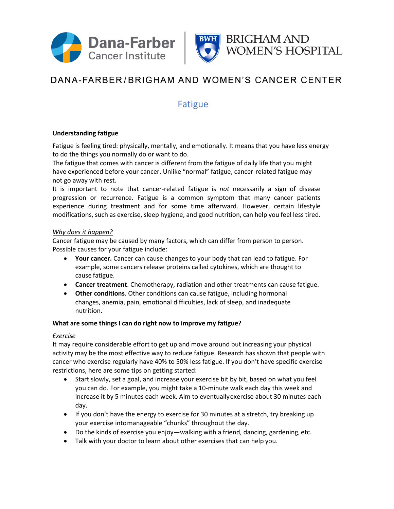



# DANA-FARBER/BRIGHAM AND WOMEN'S CANCER CENTER

### Fatigue

#### **Understanding fatigue**

Fatigue is feeling tired: physically, mentally, and emotionally. It means that you have less energy to do the things you normally do or want to do.

The fatigue that comes with cancer is different from the fatigue of daily life that you might have experienced before your cancer. Unlike "normal" fatigue, cancer-related fatigue may not go away with rest.

It is important to note that cancer-related fatigue is *not* necessarily a sign of disease progression or recurrence. Fatigue is a common symptom that many cancer patients experience during treatment and for some time afterward. However, certain lifestyle modifications, such as exercise, sleep hygiene, and good nutrition, can help you feel less tired.

#### *Why does it happen?*

Cancer fatigue may be caused by many factors, which can differ from person to person. Possible causes for your fatigue include:

- **Your cancer.** Cancer can cause changes to your body that can lead to fatigue. For example, some cancers release proteins called cytokines, which are thought to cause fatigue.
- **Cancer treatment**. Chemotherapy, radiation and other treatments can cause fatigue.
- **Other conditions**. Other conditions can cause fatigue, including hormonal changes, anemia, pain, emotional difficulties, lack of sleep, and inadequate nutrition.

#### **What are some things I can do right now to improve my fatigue?**

#### *Exercise*

It may require considerable effort to get up and move around but increasing your physical activity may be the most effective way to reduce fatigue. Research has shown that people with cancer who exercise regularly have 40% to 50% less fatigue. If you don't have specific exercise restrictions, here are some tips on getting started:

- Start slowly, set a goal, and increase your exercise bit by bit, based on what you feel you can do. For example, you might take a 10-minute walk each day this week and increase it by 5 minutes each week. Aim to eventuallyexercise about 30 minutes each day.
- If you don't have the energy to exercise for 30 minutes at a stretch, try breaking up your exercise intomanageable "chunks" throughout the day.
- Do the kinds of exercise you enjoy—walking with a friend, dancing, gardening, etc.
- Talk with your doctor to learn about other exercises that can help you.